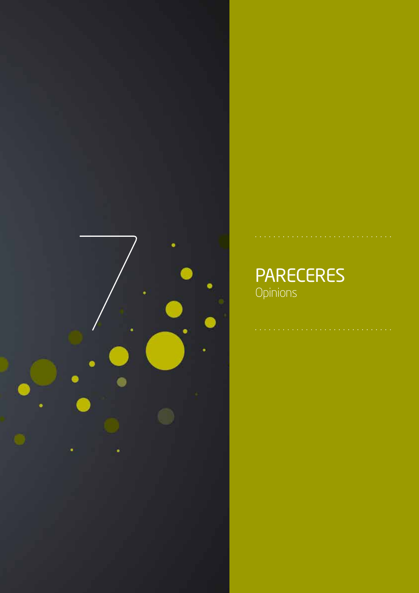

# PARECERES **Opinions**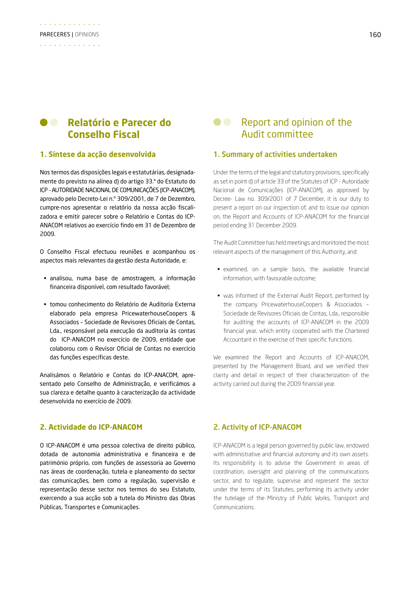#### $\bullet$   $\bullet$ **Relatório e Parecer do Conselho Fiscal**

#### **1. Síntese da acção desenvolvida**

Nos termos das disposições legais e estatutárias, designadamente do previsto na alínea d) do artigo 33.º do Estatuto do ICP - AUTORIDADE NACIONAL DE COMUNICAÇÕES (ICP-ANACOM), aprovado pelo Decreto-Lei n.º 309/2001, de 7 de Dezembro, cumpre-nos apresentar o relatório da nossa acção fiscalizadora e emitir parecer sobre o Relatório e Contas do ICP-ANACOM relativos ao exercício findo em 31 de Dezembro de 2009.

O Conselho Fiscal efectuou reuniões e acompanhou os aspectos mais relevantes da gestão desta Autoridade, e:

- • analisou, numa base de amostragem, a informação financeira disponível, com resultado favorável;
- • tomou conhecimento do Relatório de Auditoria Externa elaborado pela empresa PricewaterhouseCoopers & Associados – Sociedade de Revisores Oficiais de Contas, Lda., responsável pela execução da auditoria às contas do ICP-ANACOM no exercício de 2009, entidade que colaborou com o Revisor Oficial de Contas no exercício das funções específicas deste.

Analisámos o Relatório e Contas do ICP-ANACOM, apresentado pelo Conselho de Administração, e verificámos a sua clareza e detalhe quanto à caracterização da actividade desenvolvida no exercício de 2009.

### **2. Actividade do ICP-ANACOM**

O ICP-ANACOM é uma pessoa colectiva de direito público, dotada de autonomia administrativa e financeira e de património próprio, com funções de assessoria ao Governo nas áreas de coordenação, tutela e planeamento do sector das comunicações, bem como a regulação, supervisão e representação desse sector nos termos do seu Estatuto, exercendo a sua acção sob a tutela do Ministro das Obras Públicas, Transportes e Comunicações.

## **C** Report and opinion of the Audit committee

#### 1. Summary of activities undertaken

Under the terms of the legal and statutory provisions, specifically as set in point d) of article 33 of the Statutes of ICP - Autoridade Nacional de Comunicações (ICP-ANACOM), as approved by Decree- Law no. 309/2001 of 7 December, it is our duty to present a report on our inspection of, and to issue our opinion on, the Report and Accounts of ICP-ANACOM for the financial period ending 31 December 2009.

The Audit Committee has held meetings and monitored the most relevant aspects of the management of this Authority, and:

- examined, on a sample basis, the available financial information, with favourable outcome;
- was informed of the External Audit Report, performed by the company PricewaterhouseCoopers & Associados – Sociedade de Revisores Oficiais de Contas, Lda., responsible for auditing the accounts of ICP-ANACOM in the 2009 financial year, which entity cooperated with the Chartered Accountant in the exercise of their specific functions.

We examined the Report and Accounts of ICP-ANACOM, presented by the Management Board, and we verified their clarity and detail in respect of their characterization of the activity carried out during the 2009 financial year.

#### 2. Activity of ICP-ANACOM

ICP-ANACOM is a legal person governed by public law, endowed with administrative and financial autonomy and its own assets. Its responsibility is to advise the Government in areas of coordination, oversight and planning of the communications sector, and to regulate, supervise and represent the sector under the terms of its Statutes, performing its activity under the tutelage of the Ministry of Public Works, Transport and **Communications**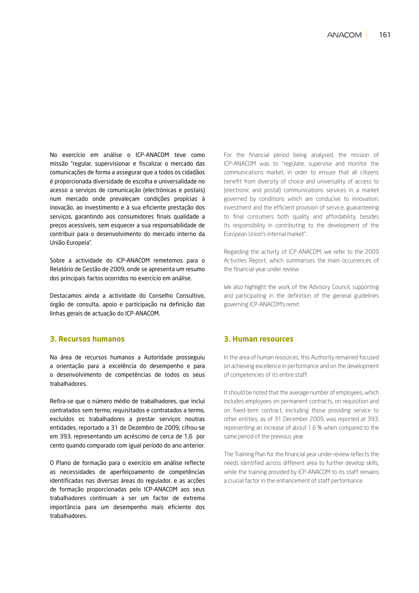No exercício em análise o ICP-ANACOM teve como missão "regular, supervisionar e fiscalizar o mercado das comunicações de forma a assegurar que a todos os cidadãos é proporcionada diversidade de escolha e universalidade no acesso a serviços de comunicação (electrónicas e postais) num mercado onde prevaleçam condições propícias à inovação, ao investimento e à sua eficiente prestação dos serviços, garantindo aos consumidores finais qualidade a preços acessíveis, sem esquecer a sua responsabilidade de contribuir para o desenvolvimento do mercado interno da União Europeia".

Sobre a actividade do ICP-ANACOM remetemos para o Relatório de Gestão de 2009, onde se apresenta um resumo dos principais factos ocorridos no exercício em análise.

Destacamos ainda a actividade do Conselho Consultivo, órgão de consulta, apoio e participação na definição das linhas gerais de actuação do ICP-ANACOM.

#### **3. Recursos humanos**

Na área de recursos humanos a Autoridade prosseguiu a orientação para a excelência do desempenho e para o desenvolvimento de competências de todos os seus trabalhadores.

Refira-se que o número médio de trabalhadores, que inclui contratados sem termo, requisitados e contratados a termo, excluídos os trabalhadores a prestar serviços noutras entidades, reportado a 31 de Dezembro de 2009, cifrou-se em 393, representando um acréscimo de cerca de 1,6 por cento quando comparado com igual período do ano anterior.

O Plano de formação para o exercício em análise reflecte as necessidades de aperfeiçoamento de competências identificadas nas diversas áreas do regulador, e as acções de formação proporcionadas pelo ICP-ANACOM aos seus trabalhadores continuam a ser um factor de extrema importância para um desempenho mais eficiente dos trabalhadores.

For the financial period being analysed, the mission of ICP-ANACOM was to ''regulate, supervise and monitor the communications market, in order to ensure that all citizens benefit from diversity of choice and universality of access to (electronic and postal) communications services in a market governed by conditions which are conducive to innovation, investment and the efficient provision of service, guaranteeing to final consumers both quality and affordability, besides its responsibility in contributing to the development of the European Union's internal market''.

Regarding the activity of ICP-ANACOM, we refer to the 2009 Activities Report, which summarises the main occurrences of the financial year under review.

We also highlight the work of the Advisory Council, supporting and participating in the definition of the general guidelines governing ICP-ANACOM's remit.

#### **3. Human resources**

In the area of human resources, this Authority remained focused on achieving excellence in performance and on the development of competencies of its entire staff.

It should be noted that the average number of employees, which includes employees on permanent contracts, on requisition and on fixed-term contract, excluding those providing service to other entities, as of 31 December 2009, was reported at 393, representing an increase of about 1.6 % when compared to the same period of the previous year.

The Training Plan for the financial year under review reflects the needs identified across different area to further develop skills, while the training provided by ICP-ANACOM to its staff remains a crucial factor in the enhancement of staff performance.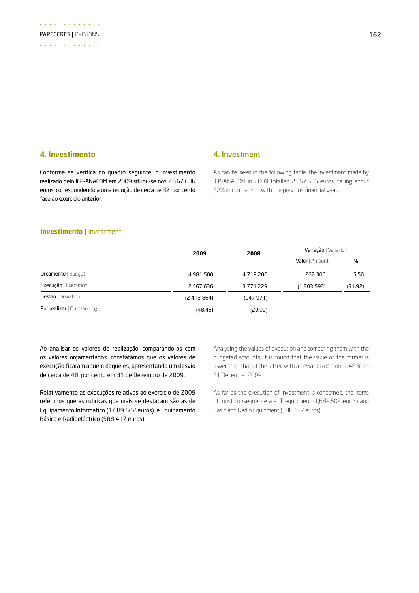#### **4. Investimento**

#### Conforme se verifica no quadro seguinte, o investimento realizado pelo ICP-ANACOM em 2009 situou-se nos 2 567 636 euros, correspondendo a uma redução de cerca de 32 por cento face ao exercício anterior.

#### 4. Investment

As can be seen in the following table, the investment made by ICP-ANACOM in 2009 totalled 2.567.636 euros, falling about 32% in comparison with the previous financial year.

#### **Investimento |** Investment

|                            | 2009          | 2008          | Variação   Variation |         |
|----------------------------|---------------|---------------|----------------------|---------|
|                            |               |               | Valor   Amount       | %       |
| Orçamento   Budget         | 4 981 500     | 4 7 1 9 2 0 0 | 262 300              | 5,56    |
| Execução   Execution       | 2 5 6 7 6 3 6 | 3771229       | (1 203 593)          | (31,92) |
| <b>Desvio</b>   Deviation  | (2413864)     | (947971)      |                      |         |
| Por realizar   Outstanding | (48, 46)      | (20,09)       |                      |         |

Ao analisar os valores de realização, comparando-os com os valores orçamentados, constatámos que os valores de execução ficaram aquém daqueles, apresentando um desvio de cerca de 48 por cento em 31 de Dezembro de 2009.

Relativamente às execuções relativas ao exercício de 2009 referimos que as rubricas que mais se destacam são as de Equipamento Informático (1 689 502 euros), e Equipamento Básico e Radioeléctrico (588 417 euros).

Analysing the values of execution and comparing them with the budgeted amounts, it is found that the value of the former is lower than that of the latter, with a deviation of around 48 % on 31 December 2009.

As far as the execution of investment is concerned, the items of most consequence are IT equipment (1,689,502 euros) and Basic and Radio Equipment (588,417 euros).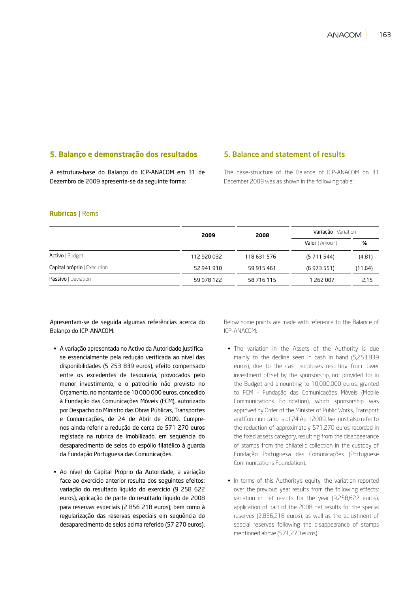### **5. Balanço e demonstração dos resultados**

A estrutura-base do Balanço do ICP-ANACOM em 31 de Dezembro de 2009 apresenta-se da seguinte forma:

#### 5. Balance and statement of results

The base-structure of the Balance of ICP-ANACOM on 31 December 2009 was as shown in the following table:

#### **Rubricas |** Rems

|                             | 2009        | 2008        | Variação   Variation |         |
|-----------------------------|-------------|-------------|----------------------|---------|
|                             |             |             | Valor   Amount       | %       |
| Activo   Budget             | 112 920 032 | 118 631 576 | (5711544)            | (4, 81) |
| Capital próprio   Execution | 52 941 910  | 59 915 461  | (6973551)            | (11,64) |
| Passivo   Deviation         | 59 978 122  | 58 716 115  | 1 262 007            | 2,15    |

Apresentam-se de seguida algumas referências acerca do Balanço do ICP-ANACOM:

- • A variação apresentada no Activo da Autoridade justificase essencialmente pela redução verificada ao nível das disponibilidades (5 253 839 euros), efeito compensado entre os excedentes de tesouraria, provocados pelo menor investimento, e o patrocínio não previsto no Orçamento, no montante de 10 000 000 euros, concedido à Fundação das Comunicações Móveis (FCM), autorizado por Despacho do Ministro das Obras Públicas, Transportes e Comunicações, de 24 de Abril de 2009. Cumprenos ainda referir a redução de cerca de 571 270 euros registada na rubrica de Imobilizado, em sequência do desaparecimento de selos do espólio filatélico à guarda da Fundação Portuguesa das Comunicações.
- • Ao nível do Capital Próprio da Autoridade, a variação face ao exercício anterior resulta dos seguintes efeitos: variação do resultado líquido do exercício (9 258 622 euros), aplicação de parte do resultado líquido de 2008 para reservas especiais (2 856 218 euros), bem como à regularização das reservas especiais em sequência do desaparecimento de selos acima referido (57 270 euros).

Below some points are made with reference to the Balance of ICP-ANACOM:

- The variation in the Assets of the Authority is due mainly to the decline seen in cash in hand (5,253,839 euros), due to the cash surpluses resulting from lower investment offset by the sponsorship, not provided for in the Budget and amounting to 10,000,000 euros, granted to FCM - Fundação das Comunicações Móveis (Mobile Communications Foundation), which sponsorship was approved by Order of the Minister of Public Works, Transport and Communications of 24 April 2009. We must also refer to the reduction of approximately 571,270 euros recorded in the fixed assets category, resulting from the disappearance of stamps from the philatelic collection in the custody of Fundação Portuguesa das Comunicações (Portuguese Communications Foundation).
- In terms of this Authority's equity, the variation reported over the previous year results from the following effects: variation in net results for the year (9,258,622 euros), application of part of the 2008 net results for the special reserves (2,856,218 euros), as well as the adjustment of special reserves following the disappearance of stamps mentioned above (571,270 euros).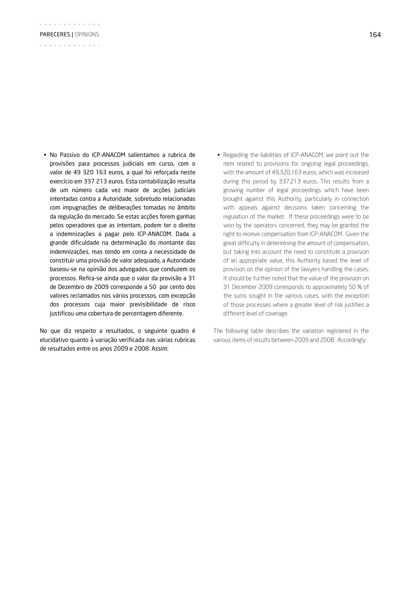• No Passivo do ICP-ANACOM salientamos a rubrica de provisões para processos judiciais em curso, com o valor de 49 320 163 euros, a qual foi reforçada neste exercício em 337 213 euros. Esta contabilização resulta de um número cada vez maior de acções judiciais intentadas contra a Autoridade, sobretudo relacionadas com impugnações de deliberações tomadas no âmbito da regulação do mercado. Se estas acções forem ganhas pelos operadores que as intentam, podem ter o direito a indemnizações a pagar pelo ICP-ANACOM. Dada a grande dificuldade na determinação do montante das indemnizações, mas tendo em conta a necessidade de constituir uma provisão de valor adequado, a Autoridade baseou-se na opinião dos advogados que conduzem os processos. Refira-se ainda que o valor da provisão a 31 de Dezembro de 2009 corresponde a 50 por cento dos valores reclamados nos vários processos, com excepção dos processos cuja maior previsibilidade de risco justificou uma cobertura de percentagem diferente.

No que diz respeito a resultados, o seguinte quadro é elucidativo quanto à variação verificada nas várias rubricas de resultados entre os anos 2009 e 2008. Assim:

• Regarding the liabilities of ICP-ANACOM, we point out the item related to provisions for ongoing legal proceedings, with the amount of 49,320,163 euros, which was increased during this period by 337,213 euros. This results from a growing number of legal proceedings which have been brought against this Authority, particularly in connection with appeals against decisions taken concerning the regulation of the market. If these proceedings were to be won by the operators concerned, they may be granted the right to receive compensation from ICP-ANACOM. Given the great difficulty in determining the amount of compensation, but taking into account the need to constitute a provision of an appropriate value, this Authority based the level of provision on the opinion of the lawyers handling the cases. It should be further noted that the value of the provision on 31 December 2009 corresponds to approximately 50 % of the sums sought in the various cases, with the exception of those processes where a greater level of risk justifies a different level of coverage.

The following table describes the variation registered in the various items of results between 2009 and 2008. Accordingly: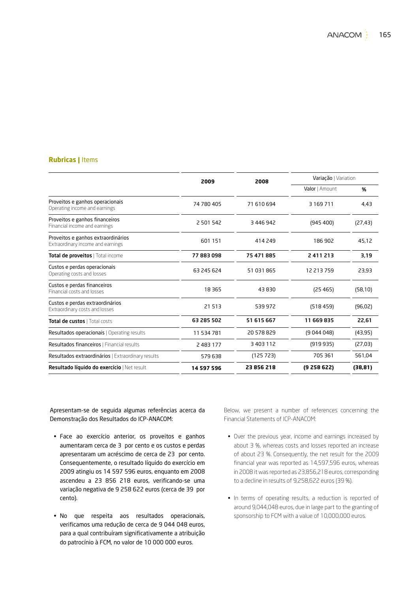#### **Rubricas |** Items

| 2009       | 2008       | Variação   Variation |          |
|------------|------------|----------------------|----------|
|            |            | Valor   Amount       | %        |
| 74 780 405 | 71 610 694 | 3 169 711            | 4.43     |
| 2 501 542  | 3 446 942  | (945 400)            | (27, 43) |
| 601 151    | 414 249    | 186 902              | 45.12    |
| 77883098   | 75 471 885 | 2411213              | 3,19     |
| 63 245 624 | 51 031 865 | 12 213 759           | 23,93    |
| 18 3 65    | 43830      | (25465)              | (58, 10) |
| 21513      | 539 972    | (518459)             | (96, 02) |
| 63 285 502 | 51 615 667 | 11 669 835           | 22,61    |
| 11 534 781 | 20 578 829 | (9044048)            | (43, 95) |
| 2 483 177  | 3 403 112  | (919935)             | (27,03)  |
| 579638     | (125723)   | 705 361              | 561.04   |
| 14 597 596 | 23 856 218 | (9258622)            | (38, 81) |
|            |            |                      |          |

Apresentam-se de seguida algumas referências acerca da Demonstração dos Resultados do ICP-ANACOM:

- • Face ao exercício anterior, os proveitos e ganhos aumentaram cerca de 3 por cento e os custos e perdas apresentaram um acréscimo de cerca de 23 por cento. Consequentemente, o resultado líquido do exercício em 2009 atingiu os 14 597 596 euros, enquanto em 2008 ascendeu a 23 856 218 euros, verificando-se uma variação negativa de 9 258 622 euros (cerca de 39 por cento).
- • No que respeita aos resultados operacionais, verificamos uma redução de cerca de 9 044 048 euros, para a qual contribuíram significativamente a atribuição do patrocínio à FCM, no valor de 10 000 000 euros.

Below, we present a number of references concerning the Financial Statements of ICP-ANACOM:

- Over the previous year, income and earnings increased by about 3 %, whereas costs and losses reported an increase of about 23 %. Consequently, the net result for the 2009 financial year was reported as 14,597,596 euros, whereas in 2008 it was reported as 23,856,218 euros, corresponding to a decline in results of 9,258,622 euros (39 %).
- In terms of operating results, a reduction is reported of around 9,044,048 euros, due in large part to the granting of sponsorship to FCM with a value of 10,000,000 euros.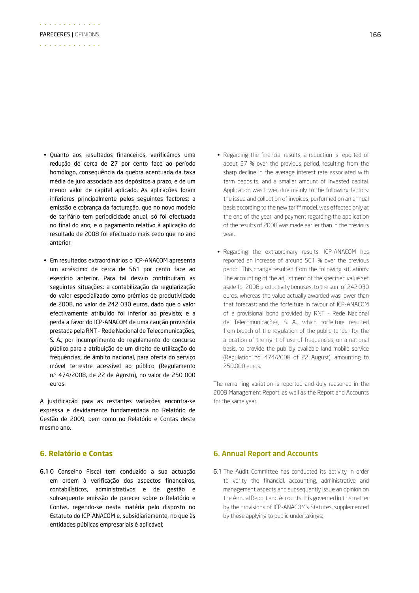- • Quanto aos resultados financeiros, verificámos uma redução de cerca de 27 por cento face ao período homólogo, consequência da quebra acentuada da taxa média de juro associada aos depósitos a prazo, e de um menor valor de capital aplicado. As aplicações foram inferiores principalmente pelos seguintes factores: a emissão e cobrança da facturação, que no novo modelo de tarifário tem periodicidade anual, só foi efectuada no final do ano; e o pagamento relativo à aplicação do resultado de 2008 foi efectuado mais cedo que no ano anterior.
- • Em resultados extraordinários o ICP-ANACOM apresenta um acréscimo de cerca de 561 por cento face ao exercício anterior. Para tal desvio contribuíram as seguintes situações: a contabilização da regularização do valor especializado como prémios de produtividade de 2008, no valor de 242 030 euros, dado que o valor efectivamente atribuído foi inferior ao previsto; e a perda a favor do ICP-ANACOM de uma caução provisória prestada pela RNT – Rede Nacional de Telecomunicações, S. A., por incumprimento do regulamento do concurso público para a atribuição de um direito de utilização de frequências, de âmbito nacional, para oferta do serviço móvel terrestre acessível ao público (Regulamento n.º 474/2008, de 22 de Agosto), no valor de 250 000 euros.

A justificação para as restantes variações encontra-se expressa e devidamente fundamentada no Relatório de Gestão de 2009, bem como no Relatório e Contas deste mesmo ano.

#### **6. Relatório e Contas**

6.1O Conselho Fiscal tem conduzido a sua actuação em ordem à verificação dos aspectos financeiros, contabilísticos, administrativos e de gestão e subsequente emissão de parecer sobre o Relatório e Contas, regendo-se nesta matéria pelo disposto no Estatuto do ICP-ANACOM e, subsidiariamente, no que às entidades públicas empresariais é aplicável;

- Regarding the financial results, a reduction is reported of about 27 % over the previous period, resulting from the sharp decline in the average interest rate associated with term deposits, and a smaller amount of invested capital. Application was lower, due mainly to the following factors: the issue and collection of invoices, performed on an annual basis according to the new tariff model, was effected only at the end of the year; and payment regarding the application of the results of 2008 was made earlier than in the previous year.
- Regarding the extraordinary results, ICP-ANACOM has reported an increase of around 561 % over the previous period. This change resulted from the following situations: The accounting of the adjustment of the specified value set aside for 2008 productivity bonuses, to the sum of 242,030 euros, whereas the value actually awarded was lower than that forecast; and the forfeiture in favour of ICP-ANACOM of a provisional bond provided by RNT - Rede Nacional de Telecomunicações, S. A., which forfeiture resulted from breach of the regulation of the public tender for the allocation of the right of use of frequencies, on a national basis, to provide the publicly available land mobile service (Regulation no. 474/2008 of 22 August), amounting to 250,000 euros.

The remaining variation is reported and duly reasoned in the 2009 Management Report, as well as the Report and Accounts for the same year.

#### 6. Annual Report and Accounts

6.1 The Audit Committee has conducted its activity in order to verity the financial, accounting, administrative and management aspects and subsequently issue an opinion on the Annual Report and Accounts. It is governed in this matter by the provisions of ICP-ANACOM's Statutes, supplemented by those applying to public undertakings;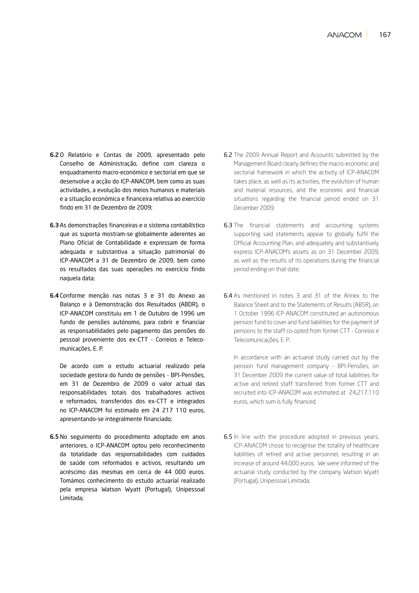- 6.2O Relatório e Contas de 2009, apresentado pelo Conselho de Administração, define com clareza o enquadramento macro-económico e sectorial em que se desenvolve a acção do ICP-ANACOM, bem como as suas actividades, a evolução dos meios humanos e materiais e a situação económica e financeira relativa ao exercício findo em 31 de Dezembro de 2009;
- 6.3As demonstrações financeiras e o sistema contabilístico que as suporta mostram-se globalmente aderentes ao Plano Oficial de Contabilidade e expressam de forma adequada e substantiva a situação patrimonial do ICP-ANACOM a 31 de Dezembro de 2009, bem como os resultados das suas operações no exercício findo naquela data;
- 6.4Conforme menção nas notas 3 e 31 do Anexo ao Balanço e à Demonstração dos Resultados (ABDR), o ICP-ANACOM constituiu em 1 de Outubro de 1996 um fundo de pensões autónomo, para cobrir e financiar as responsabilidades pelo pagamento das pensões do pessoal proveniente dos ex-CTT - Correios e Telecomunicações, E. P.

De acordo com o estudo actuarial realizado pela sociedade gestora do fundo de pensões - BPI-Pensões, em 31 de Dezembro de 2009 o valor actual das responsabilidades totais dos trabalhadores activos e reformados, transferidos dos ex-CTT e integrados no ICP-ANACOM foi estimado em 24 217 110 euros, apresentando-se integralmente financiado;

6.5No seguimento do procedimento adoptado em anos anteriores, o ICP-ANACOM optou pelo reconhecimento da totalidade das responsabilidades com cuidados de saúde com reformados e activos, resultando um acréscimo das mesmas em cerca de 44 000 euros. Tomámos conhecimento do estudo actuarial realizado pela empresa Watson Wyatt (Portugal), Unipessoal Limitada;

- 6.2 The 2009 Annual Report and Accounts submitted by the Management Board clearly defines the macro-economic and sectorial framework in which the activity of ICP-ANACOM takes place, as well as its activities, the evolution of human and material resources, and the economic and financial situations regarding the financial period ended on 31 December 2009;
- 6.3 The financial statements and accounting systems supporting said statements appear to globally fulfil the Official Accounting Plan, and adequately and substantively express ICP-ANACOM's assets as on 31 December 2009, as well as the results of its operations during the financial period ending on that date;
- 6.4 As mentioned in notes 3 and 31 of the Annex to the Balance Sheet and to the Statements of Results (ABSR), on 1 October 1996 ICP-ANACOM constituted an autonomous pension fund to cover and fund liabilities for the payment of pensions to the staff co-opted from former CTT - Correios e Telecomunicações, E. P..

In accordance with an actuarial study carried out by the pension fund management company - BPI-Pensões, on 31 December 2009 the current value of total liabilities for active and retired staff transferred from former CTT and recruited into ICP-ANACOM was estimated at 24,217,110 euros, which sum is fully financed;

6.5 In line with the procedure adopted in previous years, ICP-ANACOM chose to recognise the totality of healthcare liabilities of retired and active personnel, resulting in an increase of around 44,000 euros. We were informed of the actuarial study conducted by the company Watson Wyatt (Portugal), Unipessoal Limitada;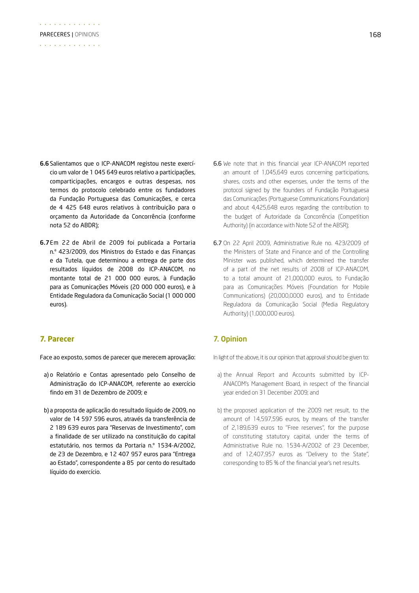- 6.6Salientamos que o ICP-ANACOM registou neste exercício um valor de 1 045 649 euros relativo a participações, comparticipações, encargos e outras despesas, nos termos do protocolo celebrado entre os fundadores da Fundação Portuguesa das Comunicações, e cerca de 4 425 648 euros relativos à contribuição para o orçamento da Autoridade da Concorrência (conforme nota 52 do ABDR);
- 6.7Em 22 de Abril de 2009 foi publicada a Portaria n.º 423/2009, dos Ministros do Estado e das Finanças e da Tutela, que determinou a entrega de parte dos resultados líquidos de 2008 do ICP-ANACOM, no montante total de 21 000 000 euros, à Fundação para as Comunicações Móveis (20 000 000 euros), e à Entidade Reguladora da Comunicação Social (1 000 000 euros).

#### **7. Parecer**

Face ao exposto, somos de parecer que merecem aprovação:

- a) o Relatório e Contas apresentado pelo Conselho de Administração do ICP-ANACOM, referente ao exercício findo em 31 de Dezembro de 2009; e
- b) a proposta de aplicação do resultado líquido de 2009, no valor de 14 597 596 euros, através da transferência de 2 189 639 euros para "Reservas de Investimento", com a finalidade de ser utilizado na constituição do capital estatutário, nos termos da Portaria n.º 1534-A/2002, de 23 de Dezembro, e 12 407 957 euros para "Entrega ao Estado", correspondente a 85 por cento do resultado líquido do exercício.
- 6.6 We note that in this financial year ICP-ANACOM reported an amount of 1,045,649 euros concerning participations, shares, costs and other expenses, under the terms of the protocol signed by the founders of Fundação Portuguesa das Comunicações (Portuguese Communications Foundation) and about 4,425,648 euros regarding the contribution to the budget of Autoridade da Concorrência (Competition Authority) (in accordance with Note 52 of the ABSR);
- 6.7 On 22 April 2009, Administrative Rule no. 423/2009 of the Ministers of State and Finance and of the Controlling Minister was published, which determined the transfer of a part of the net results of 2008 of ICP-ANACOM, to a total amount of 21,000,000 euros, to Fundação para as Comunicações Móveis (Foundation for Mobile Communications) (20,000,0000 euros), and to Entidade Reguladora da Comunicação Social (Media Regulatory Authority) (1,000,000 euros).

#### 7. Opinion

In light of the above, it is our opinion that approval should be given to:

- a) the Annual Report and Accounts submitted by ICP-ANACOM's Management Board, in respect of the financial year ended on 31 December 2009; and
- b) the proposed application of the 2009 net result, to the amount of 14,597,596 euros, by means of the transfer of 2,189,639 euros to ''Free reserves'', for the purpose of constituting statutory capital, under the terms of Administrative Rule no. 1534-A/2002 of 23 December, and of 12,407,957 euros as ''Delivery to the State'', corresponding to 85 % of the financial year's net results.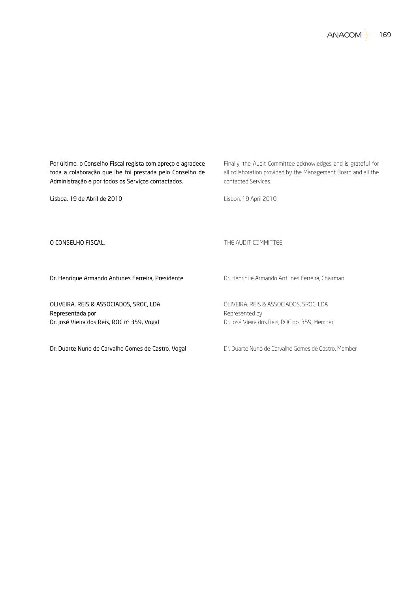**ANACOM** 169

Por último, o Conselho Fiscal regista com apreço e agradece toda a colaboração que lhe foi prestada pelo Conselho de Administração e por todos os Serviços contactados. Lisboa, 19 de Abril de 2010 O CONSELHO FISCAL, Dr. Henrique Armando Antunes Ferreira, Presidente OLIVEIRA, REIS & ASSOCIADOS, SROC, LDA Representada por Dr. José Vieira dos Reis, ROC nº 359, Vogal Finally, the Audit Committee acknowledges and is grateful for all collaboration provided by the Management Board and all the contacted Services. Lisbon, 19 April 2010 THE AUDIT COMMITTEE, Dr. Henrique Armando Antunes Ferreira, Chairman OLIVEIRA, REIS & ASSOCIADOS, SROC, LDA Represented by Dr. José Vieira dos Reis, ROC no. 359, Member

Dr. Duarte Nuno de Carvalho Gomes de Castro, Vogal

Dr. Duarte Nuno de Carvalho Gomes de Castro, Member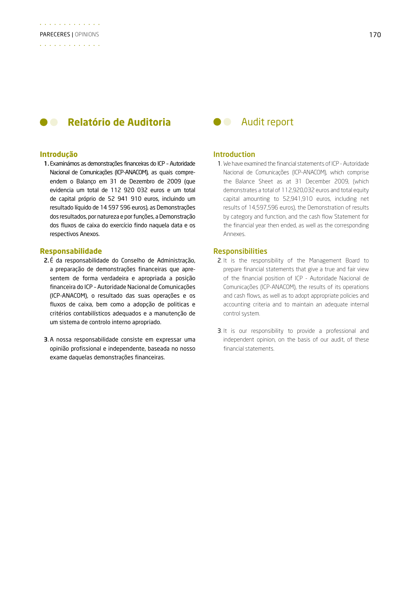#### **Relatório de Auditoria de Caudit report**  $\bullet$   $\bullet$

#### **Introdução**

1.Examinámos as demonstrações financeiras do ICP – Autoridade Nacional de Comunicações (ICP-ANACOM), as quais compreendem o Balanço em 31 de Dezembro de 2009 (que evidencia um total de 112 920 032 euros e um total de capital próprio de 52 941 910 euros, incluindo um resultado líquido de 14 597 596 euros), as Demonstrações dos resultados, por natureza e por funções, a Demonstração dos fluxos de caixa do exercício findo naquela data e os respectivos Anexos.

#### **Responsabilidade**

- 2.É da responsabilidade do Conselho de Administração, a preparação de demonstrações financeiras que apresentem de forma verdadeira e apropriada a posição financeira do ICP – Autoridade Nacional de Comunicações (ICP-ANACOM), o resultado das suas operações e os fluxos de caixa, bem como a adopção de politicas e critérios contabilísticos adequados e a manutenção de um sistema de controlo interno apropriado.
- 3.A nossa responsabilidade consiste em expressar uma opinião profissional e independente, baseada no nosso exame daquelas demonstrações financeiras.

#### Introduction

1. We have examined the financial statements of ICP - Autoridade Nacional de Comunicações (ICP-ANACOM), which comprise the Balance Sheet as at 31 December 2009, (which demonstrates a total of 112,920,032 euros and total equity capital amounting to 52,941,910 euros, including net results of 14,597,596 euros), the Demonstration of results by category and function, and the cash flow Statement for the financial year then ended, as well as the corresponding Annexes.

#### **Responsibilities**

- 2. It is the responsibility of the Management Board to prepare financial statements that give a true and fair view of the financial position of ICP - Autoridade Nacional de Comunicações (ICP-ANACOM), the results of its operations and cash flows, as well as to adopt appropriate policies and accounting criteria and to maintain an adequate internal control system.
- 3. It is our responsibility to provide a professional and independent opinion, on the basis of our audit, of these financial statements.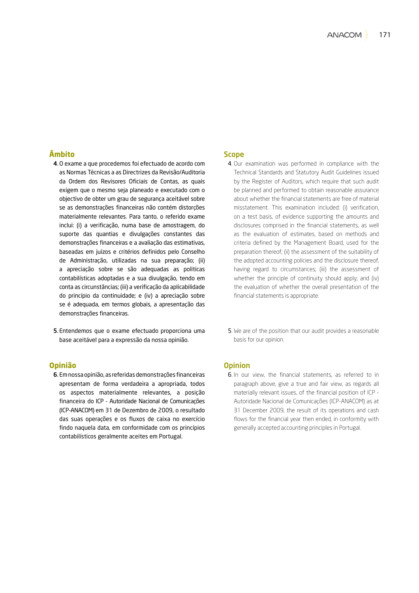### **Âmbito**

- 4.O exame a que procedemos foi efectuado de acordo com as Normas Técnicas a as Directrizes da Revisão/Auditoria da Ordem dos Revisores Oficiais de Contas, as quais exigem que o mesmo seja planeado e executado com o objectivo de obter um grau de segurança aceitável sobre se as demonstrações financeiras não contém distorções materialmente relevantes. Para tanto, o referido exame inclui: (i) a verificação, numa base de amostragem, do suporte das quantias e divulgações constantes das demonstrações financeiras e a avaliação das estimativas, baseadas em juízos e critérios definidos pelo Conselho de Administração, utilizadas na sua preparação; (ii) a apreciação sobre se são adequadas as politicas contabilísticas adoptadas e a sua divulgação, tendo em conta as circunstâncias; (iii) a verificação da aplicabilidade do princípio da continuidade; e (iv) a apreciação sobre se é adequada, em termos globais, a apresentação das demonstrações financeiras.
- 5. Entendemos que o exame efectuado proporciona uma base aceitável para a expressão da nossa opinião.

#### **Opinião**

6. Em nossa opinião, as referidas demonstrações financeiras apresentam de forma verdadeira a apropriada, todos os aspectos materialmente relevantes, a posição financeira do ICP - Autoridade Nacional de Comunicações (ICP-ANACOM) em 31 de Dezembro de 2009, o resultado das suas operações e os fluxos de caixa no exercício findo naquela data, em conformidade com os princípios contabilísticos geralmente aceites em Portugal.

#### **Scope**

- 4. Our examination was performed in compliance with the Technical Standards and Statutory Audit Guidelines issued by the Register of Auditors, which require that such audit be planned and performed to obtain reasonable assurance about whether the financial statements are free of material misstatement. This examination included: (i) verification, on a test basis, of evidence supporting the amounts and disclosures comprised in the financial statements, as well as the evaluation of estimates, based on methods and criteria defined by the Management Board, used for the preparation thereof; (ii) the assessment of the suitability of the adopted accounting policies and the disclosure thereof, having regard to circumstances; (iii) the assessment of whether the principle of continuity should apply; and (iv) the evaluation of whether the overall presentation of the financial statements is appropriate.
- 5. We are of the position that our audit provides a reasonable basis for our opinion.

#### **Opinion**

6. In our view, the financial statements, as referred to in paragraph above, give a true and fair view, as regards all materially relevant issues, of the financial position of ICP - Autoridade Nacional de Comunicações (ICP-ANACOM) as at 31 December 2009, the result of its operations and cash flows for the financial year then ended, in conformity with generally accepted accounting principles in Portugal.